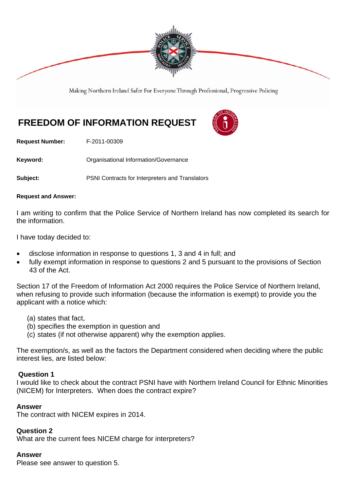

Making Northern Ireland Safer For Everyone Through Professional, Progressive Policing

# **FREEDOM OF INFORMATION REQUEST**

**Request Number:** F-2011-00309

Keyword: **Communistry Communists** Organisational Information/Governance

**Subject:** PSNI Contracts for Interpreters and Translators

#### **Request and Answer:**

I am writing to confirm that the Police Service of Northern Ireland has now completed its search for the information.

I have today decided to:

- disclose information in response to questions 1, 3 and 4 in full; and
- fully exempt information in response to questions 2 and 5 pursuant to the provisions of Section 43 of the Act.

Section 17 of the Freedom of Information Act 2000 requires the Police Service of Northern Ireland, when refusing to provide such information (because the information is exempt) to provide you the applicant with a notice which:

- (a) states that fact,
- (b) specifies the exemption in question and
- (c) states (if not otherwise apparent) why the exemption applies.

The exemption/s, as well as the factors the Department considered when deciding where the public interest lies, are listed below:

#### **Question 1**

I would like to check about the contract PSNI have with Northern Ireland Council for Ethnic Minorities (NICEM) for Interpreters. When does the contract expire?

#### **Answer**

The contract with NICEM expires in 2014.

#### **Question 2**

What are the current fees NICEM charge for interpreters?

#### **Answer**

Please see answer to question 5.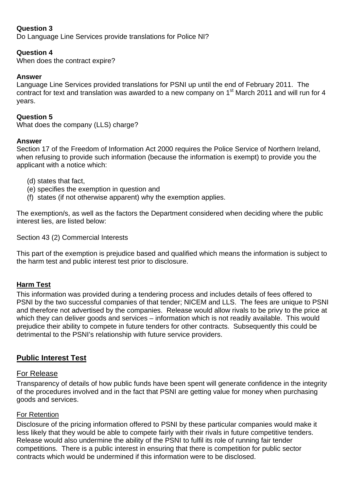## **Question 3**

Do Language Line Services provide translations for Police NI?

# **Question 4**

When does the contract expire?

# **Answer**

Language Line Services provided translations for PSNI up until the end of February 2011. The contract for text and translation was awarded to a new company on 1<sup>st</sup> March 2011 and will run for 4 years.

## **Question 5**

What does the company (LLS) charge?

#### **Answer**

Section 17 of the Freedom of Information Act 2000 requires the Police Service of Northern Ireland, when refusing to provide such information (because the information is exempt) to provide you the applicant with a notice which:

- (d) states that fact,
- (e) specifies the exemption in question and
- (f) states (if not otherwise apparent) why the exemption applies.

The exemption/s, as well as the factors the Department considered when deciding where the public interest lies, are listed below:

Section 43 (2) Commercial Interests

This part of the exemption is prejudice based and qualified which means the information is subject to the harm test and public interest test prior to disclosure.

## **Harm Test**

This information was provided during a tendering process and includes details of fees offered to PSNI by the two successful companies of that tender; NICEM and LLS. The fees are unique to PSNI and therefore not advertised by the companies. Release would allow rivals to be privy to the price at which they can deliver goods and services – information which is not readily available. This would prejudice their ability to compete in future tenders for other contracts. Subsequently this could be detrimental to the PSNI's relationship with future service providers.

# **Public Interest Test**

## For Release

Transparency of details of how public funds have been spent will generate confidence in the integrity of the procedures involved and in the fact that PSNI are getting value for money when purchasing goods and services.

## For Retention

Disclosure of the pricing information offered to PSNI by these particular companies would make it less likely that they would be able to compete fairly with their rivals in future competitive tenders. Release would also undermine the ability of the PSNI to fulfil its role of running fair tender competitions. There is a public interest in ensuring that there is competition for public sector contracts which would be undermined if this information were to be disclosed.